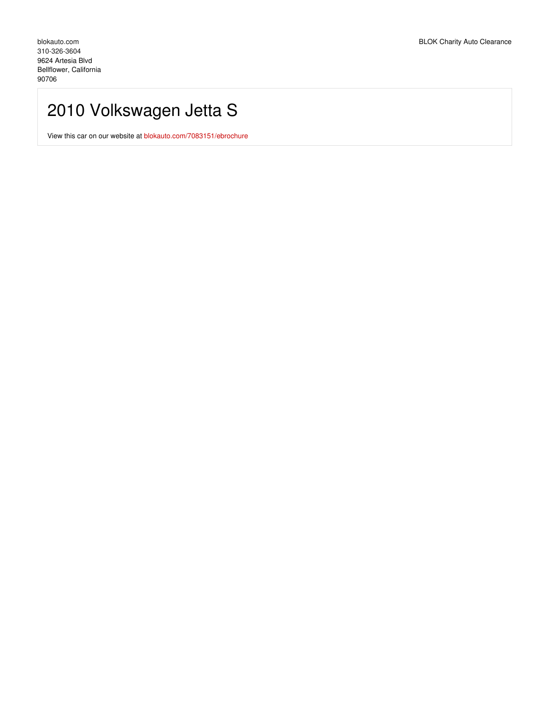# 2010 Volkswagen Jetta S

View this car on our website at [blokauto.com/7083151/ebrochure](https://blokauto.com/vehicle/7083151/2010-volkswagen-jetta-s-bellflower-california-90706/7083151/ebrochure)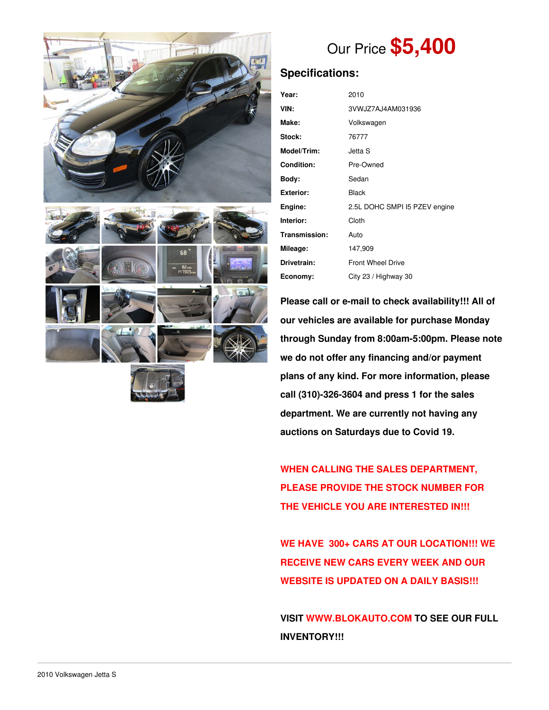



# Our Price **\$5,400**

## **Specifications:**

| Year:             | 2010                          |  |  |
|-------------------|-------------------------------|--|--|
| VIN:              | 3VWJZ7AJ4AM031936             |  |  |
| Make:             | Volkswagen                    |  |  |
| Stock:            | 76777                         |  |  |
| Model/Trim:       | Jetta S                       |  |  |
| <b>Condition:</b> | Pre-Owned                     |  |  |
| Body:             | Sedan                         |  |  |
| <b>Exterior:</b>  | <b>Black</b>                  |  |  |
| Engine:           | 2.5L DOHC SMPI I5 PZEV engine |  |  |
| Interior:         | Cloth                         |  |  |
| Transmission:     | Auto                          |  |  |
| Mileage:          | 147,909                       |  |  |
| Drivetrain:       | <b>Front Wheel Drive</b>      |  |  |
| Economy:          | City 23 / Highway 30          |  |  |

**Please call or e-mail to check availability!!! All of our vehicles are available for purchase Monday through Sunday from 8:00am-5:00pm. Please note we do not offer any financing and/or payment plans of any kind. For more information, please call (310)-326-3604 and press 1 for the sales department. We are currently not having any auctions on Saturdays due to Covid 19.**

**WHEN CALLING THE SALES DEPARTMENT, PLEASE PROVIDE THE STOCK NUMBER FOR THE VEHICLE YOU ARE INTERESTED IN!!!**

**WE HAVE 300+ CARS AT OUR LOCATION!!! WE RECEIVE NEW CARS EVERY WEEK AND OUR WEBSITE IS UPDATED ON A DAILY BASIS!!!**

**VISIT [WWW.BLOKAUTO.COM](http://www.blockauto.com) TO SEE OUR FULL INVENTORY!!!**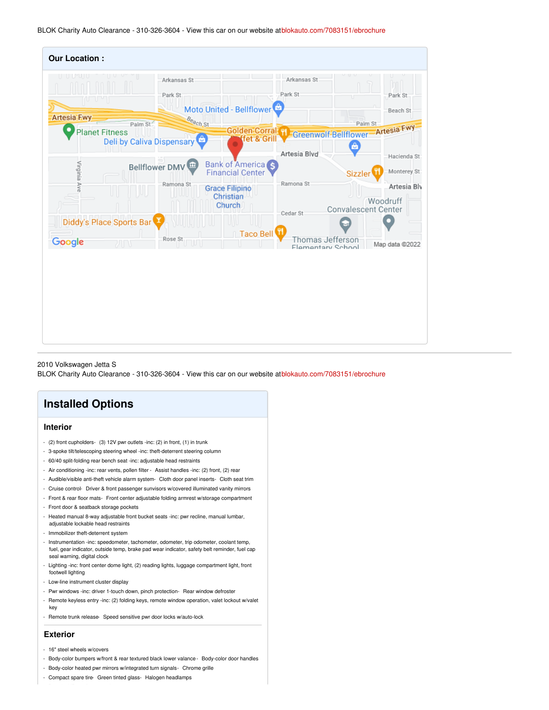BLOK Charity Auto Clearance - 310-326-3604 - View this car on our website at[blokauto.com/7083151/ebrochure](https://blokauto.com/vehicle/7083151/2010-volkswagen-jetta-s-bellflower-california-90706/7083151/ebrochure)

| <b>Our Location:</b>     |                           |                                                     |                                       |                                        |
|--------------------------|---------------------------|-----------------------------------------------------|---------------------------------------|----------------------------------------|
| <b>Artesia-Fwy</b>       | Arkansas St<br>Park St    | Moto United - Bellflower                            | Arkansas St<br>Park St                | Park St<br>nп<br>Beach St              |
|                          | Beach St<br>Palm St       | Golden Corral H                                     |                                       | Palm St                                |
| <b>Planet Fitness</b>    | Deli by Caliva Dispensary | fet & Grill                                         |                                       | Greenwolf-Bellflower-Artesia Fwy       |
|                          |                           |                                                     | Artesia Blvd                          | A<br>Hacienda St                       |
| Virginia Ave             | Bellflower DMV            | <b>Bank of America</b> S<br><b>Financial Center</b> |                                       | Monterey St<br>Sizzler                 |
|                          | Ramona St                 | <b>Grace Filipino</b>                               | Ramona St                             | Artesia Blv                            |
|                          |                           | Christian<br><b>Church</b>                          | Cedar St                              | Woodruff<br><b>Convalescent Center</b> |
| Diddy's Place Sports Bar |                           |                                                     |                                       |                                        |
| Google<br>ЛN             | Rose St<br>w              | Taco Bell                                           | Thomas Jefferson<br>Flamentary School | Map data @2022                         |
|                          |                           |                                                     |                                       |                                        |
|                          |                           |                                                     |                                       |                                        |
|                          |                           |                                                     |                                       |                                        |
|                          |                           |                                                     |                                       |                                        |
|                          |                           |                                                     |                                       |                                        |
|                          |                           |                                                     |                                       |                                        |
|                          |                           |                                                     |                                       |                                        |

2010 Volkswagen Jetta S

BLOK Charity Auto Clearance - 310-326-3604 - View this car on our website at[blokauto.com/7083151/ebrochure](https://blokauto.com/vehicle/7083151/2010-volkswagen-jetta-s-bellflower-california-90706/7083151/ebrochure)

# **Installed Options**

#### **Interior**

- (2) front cupholders- (3) 12V pwr outlets -inc: (2) in front, (1) in trunk
- 3-spoke tilt/telescoping steering wheel -inc: theft-deterrent steering column
- 60/40 split-folding rear bench seat -inc: adjustable head restraints
- Air conditioning -inc: rear vents, pollen filter Assist handles -inc: (2) front, (2) rear
- Audible/visible anti-theft vehicle alarm system- Cloth door panel inserts- Cloth seat trim
- Cruise control- Driver & front passenger sunvisors w/covered illuminated vanity mirrors
- Front & rear floor mats- Front center adjustable folding armrest w/storage compartment
- Front door & seatback storage pockets
- Heated manual 8-way adjustable front bucket seats -inc: pwr recline, manual lumbar, adjustable lockable head restraints
- Immobilizer theft-deterrent system
- Instrumentation -inc: speedometer, tachometer, odometer, trip odometer, coolant temp, fuel, gear indicator, outside temp, brake pad wear indicator, safety belt reminder, fuel cap seal warning, digital clock
- Lighting -inc: front center dome light, (2) reading lights, luggage compartment light, front footwell lighting
- Low-line instrument cluster display
- Pwr windows -inc: driver 1-touch down, pinch protection- Rear window defroster
- Remote keyless entry -inc: (2) folding keys, remote window operation, valet lockout w/valet key
- Remote trunk release- Speed sensitive pwr door locks w/auto-lock

#### **Exterior**

- 16" steel wheels w/covers
- Body-color bumpers w/front & rear textured black lower valance Body-color door handles
- Body-color heated pwr mirrors w/integrated turn signals- Chrome grille
- Compact spare tire- Green tinted glass- Halogen headlamps